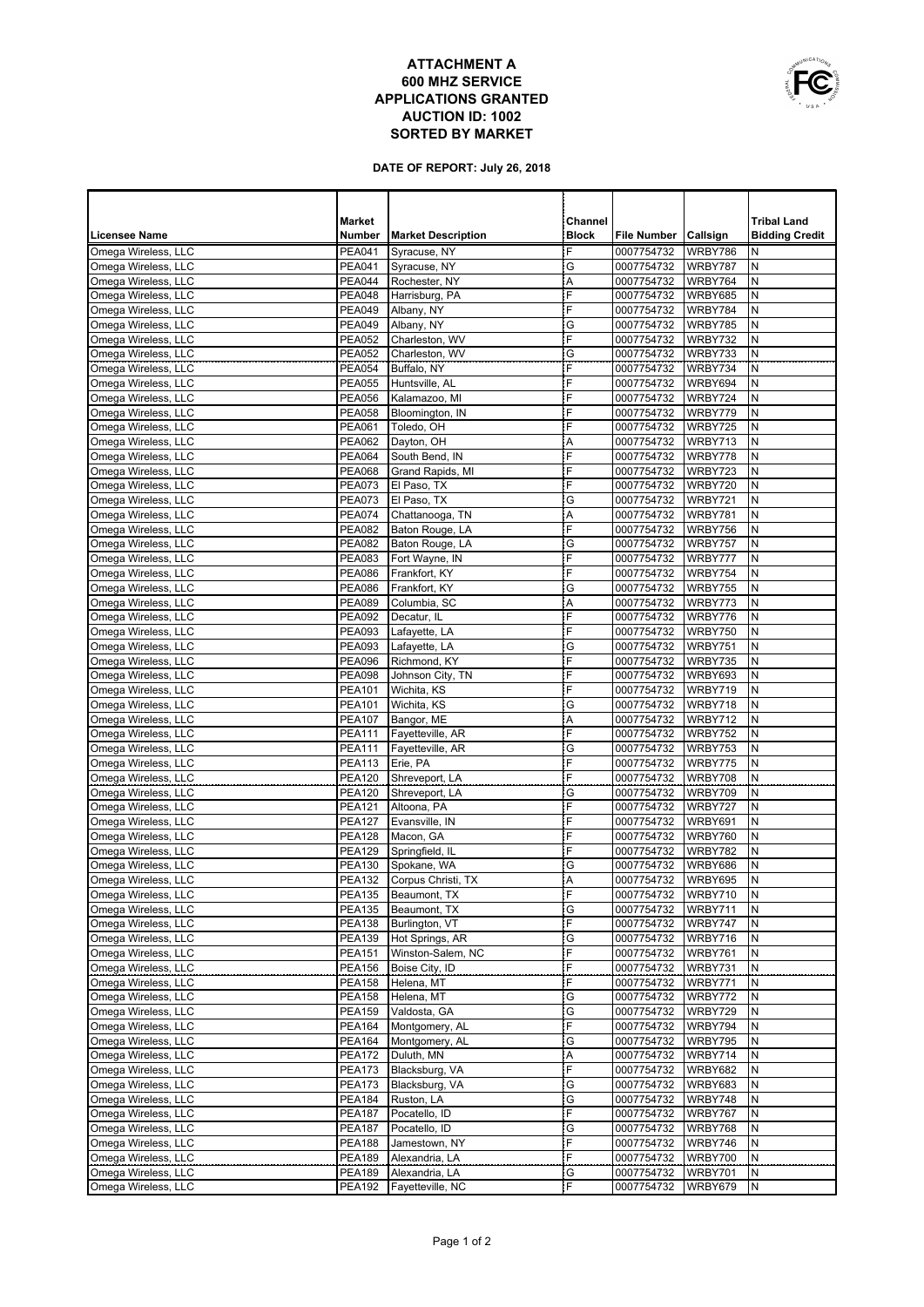## **ATTACHMENT A 600 MHZ SERVICE APPLICATIONS GRANTED AUCTION ID: 1002 SORTED BY MARKET**



**DATE OF REPORT: July 26, 2018**

|                                            | <b>Market</b>                  |                                | Channel      |                          |                    | <b>Tribal Land</b>    |
|--------------------------------------------|--------------------------------|--------------------------------|--------------|--------------------------|--------------------|-----------------------|
| Licensee Name                              | Number                         | <b>Market Description</b>      | <b>Block</b> | <b>File Number</b>       | Callsign           | <b>Bidding Credit</b> |
| Omega Wireless, LLC                        | <b>PEA041</b>                  | Syracuse, NY                   | F            | 0007754732               | WRBY786            | N                     |
| Omega Wireless, LLC                        | <b>PEA041</b>                  | Syracuse, NY                   | G            | 0007754732               | WRBY787            | N                     |
| Omega Wireless, LLC                        | <b>PEA044</b>                  | Rochester, NY                  | Α            | 0007754732               | WRBY764            | N                     |
| Omega Wireless, LLC                        | <b>PEA048</b>                  | Harrisburg, PA                 | F            | 0007754732               | WRBY685            | N                     |
| Omega Wireless, LLC                        | <b>PEA049</b>                  | Albany, NY                     | F            | 0007754732               | WRBY784            | N                     |
| Omega Wireless, LLC<br>Omega Wireless, LLC | <b>PEA049</b><br><b>PEA052</b> | Albany, NY<br>Charleston, WV   | G<br>F       | 0007754732<br>0007754732 | WRBY785<br>WRBY732 | N<br>N                |
| Omega Wireless, LLC                        | <b>PEA052</b>                  | Charleston, WV                 | G            | 0007754732               | WRBY733            | N                     |
| Omega Wireless, LLC                        | <b>PEA054</b>                  | Buffalo, NY                    | F            | 0007754732               | WRBY734            | N                     |
| Omega Wireless, LLC                        | <b>PEA055</b>                  | Huntsville, AL                 | F            | 0007754732               | WRBY694            | N                     |
| Omega Wireless, LLC                        | <b>PEA056</b>                  | Kalamazoo, MI                  | F            | 0007754732               | WRBY724            | N                     |
| Omega Wireless, LLC                        | <b>PEA058</b>                  | Bloomington, IN                | F            | 0007754732               | WRBY779            | N                     |
| Omega Wireless, LLC                        | <b>PEA061</b>                  | Toledo, OH                     | F            | 0007754732               | WRBY725            | N                     |
| Omega Wireless, LLC                        | <b>PEA062</b>                  | Dayton, OH                     | Α            | 0007754732               | WRBY713            | N                     |
| Omega Wireless, LLC                        | <b>PEA064</b>                  | South Bend, IN                 | F            | 0007754732               | WRBY778            | N                     |
| Omega Wireless, LLC                        | <b>PEA068</b>                  | Grand Rapids, MI               | F            | 0007754732               | WRBY723            | N                     |
| Omega Wireless, LLC                        | <b>PEA073</b>                  | El Paso, TX                    | F            | 0007754732               | WRBY720            | N                     |
| Omega Wireless, LLC<br>Omega Wireless, LLC | <b>PEA073</b><br><b>PEA074</b> | El Paso, TX<br>Chattanooga, TN | G<br>Α       | 0007754732<br>0007754732 | WRBY721<br>WRBY781 | N<br>N                |
| Omega Wireless, LLC                        | <b>PEA082</b>                  | Baton Rouge, LA                | F            | 0007754732               | WRBY756            | N                     |
| Omega Wireless, LLC                        | <b>PEA082</b>                  | Baton Rouge, LA                | G            | 0007754732               | WRBY757            | Ν                     |
| Omega Wireless, LLC                        | PEA083                         | Fort Wayne, IN                 | F            | 0007754732               | WRBY777            | N                     |
| Omega Wireless, LLC                        | <b>PEA086</b>                  | Frankfort, KY                  | F            | 0007754732               | WRBY754            | N                     |
| Omega Wireless, LLC                        | <b>PEA086</b>                  | Frankfort, KY                  | G            | 0007754732               | WRBY755            | N                     |
| Omega Wireless, LLC                        | <b>PEA089</b>                  | Columbia, SC                   | Α            | 0007754732               | WRBY773            | N                     |
| Omega Wireless, LLC                        | <b>PEA092</b>                  | Decatur, IL                    | F            | 0007754732               | WRBY776            | N                     |
| Omega Wireless, LLC                        | <b>PEA093</b>                  | Lafayette, LA                  | F            | 0007754732               | WRBY750            | N                     |
| Omega Wireless, LLC                        | <b>PEA093</b>                  | Lafayette, LA                  | G            | 0007754732               | WRBY751            | Ν                     |
| Omega Wireless, LLC                        | <b>PEA096</b>                  | Richmond, KY                   | F            | 0007754732               | WRBY735            | N                     |
| Omega Wireless, LLC                        | <b>PEA098</b>                  | Johnson City, TN               | F            | 0007754732               | WRBY693            | N                     |
| Omega Wireless, LLC                        | <b>PEA101</b>                  | Wichita, KS                    | F            | 0007754732               | WRBY719            | N                     |
| Omega Wireless, LLC<br>Omega Wireless, LLC | PEA101                         | Wichita, KS                    | G<br>A       | 0007754732               | WRBY718            | N<br>N                |
| Omega Wireless, LLC                        | <b>PEA107</b><br><b>PEA111</b> | Bangor, ME<br>Fayetteville, AR | F            | 0007754732<br>0007754732 | WRBY712<br>WRBY752 | N                     |
| Omega Wireless, LLC                        | <b>PEA111</b>                  | Fayetteville, AR               | G            | 0007754732               | WRBY753            | N                     |
| Omega Wireless, LLC                        | <b>PEA113</b>                  | Erie, PA                       | F            | 0007754732               | WRBY775            | N                     |
| Omega Wireless, LLC                        | <b>PEA120</b>                  | Shreveport, LA                 | F            | 0007754732               | WRBY708            | N                     |
| Omega Wireless, LLC                        | <b>PEA120</b>                  | Shreveport, LA                 | G            | 0007754732               | WRBY709            | N                     |
| Omega Wireless, LLC                        | <b>PEA121</b>                  | Altoona, PA                    | F            | 0007754732               | WRBY727            | N                     |
| Omega Wireless, LLC                        | <b>PEA127</b>                  | Evansville, IN                 | F            | 0007754732               | WRBY691            | N                     |
| Omega Wireless, LLC                        | <b>PEA128</b>                  | Macon, GA                      | F            | 0007754732               | WRBY760            | N                     |
| Omega Wireless, LLC                        | <b>PEA129</b>                  | Springfield, IL                | F            | 0007754732               | WRBY782            | N                     |
| Omega Wireless, LLC                        | <b>PEA130</b>                  | Spokane, WA                    | G            | 0007754732               | WRBY686            | N                     |
| Omega Wireless, LLC                        | <b>PEA132</b>                  | Corpus Christi, TX             | A            | 0007754732               | WRBY695            | N                     |
| Omega Wireless, LLC                        | <b>PEA135</b>                  | Beaumont, TX                   | F            | 0007754732               | WRBY710            | N                     |
| Omega Wireless, LLC<br>Omega Wireless, LLC | <b>PEA135</b><br><b>PEA138</b> | Beaumont, TX<br>Burlington, VT | G<br>F       | 0007754732<br>0007754732 | WRBY711<br>WRBY747 | N<br>N                |
| Omega Wireless, LLC                        | <b>PEA139</b>                  | Hot Springs, AR                | G            | 0007754732               | WRBY716            | N                     |
| Omega Wireless, LLC                        | <b>PEA151</b>                  | Winston-Salem, NC              | F            | 0007754732               | WRBY761            | N                     |
| Omega Wireless, LLC                        | <b>PEA156</b>                  | Boise City, ID                 | F            | 0007754732               | WRBY731            | N                     |
| Omega Wireless, LLC                        | <b>PEA158</b>                  | Helena, MT                     | Ė            | 0007754732               | WRBY771            | N                     |
| Omega Wireless, LLC                        | <b>PEA158</b>                  | Helena, MT                     | G            | 0007754732               | WRBY772            | N                     |
| Omega Wireless, LLC                        | <b>PEA159</b>                  | Valdosta, GA                   | G            | 0007754732               | WRBY729            | N                     |
| Omega Wireless, LLC                        | <b>PEA164</b>                  | Montgomery, AL                 | F            | 0007754732               | WRBY794            | N                     |
| Omega Wireless, LLC                        | <b>PEA164</b>                  | Montgomery, AL                 | G            | 0007754732               | WRBY795            | N                     |
| Omega Wireless, LLC                        | <b>PEA172</b>                  | Duluth, MN                     | Α            | 0007754732               | WRBY714            | N                     |
| Omega Wireless, LLC                        | <b>PEA173</b>                  | Blacksburg, VA                 | F            | 0007754732               | WRBY682            | N                     |
| Omega Wireless, LLC                        | <b>PEA173</b>                  | Blacksburg, VA                 | G            | 0007754732               | WRBY683            | N                     |
| Omega Wireless, LLC                        | <b>PEA184</b>                  | Ruston, LA                     | G<br>F       | 0007754732               | WRBY748            | N                     |
| Omega Wireless, LLC<br>Omega Wireless, LLC | <b>PEA187</b><br><b>PEA187</b> | Pocatello, ID<br>Pocatello, ID | G            | 0007754732<br>0007754732 | WRBY767<br>WRBY768 | N<br>N                |
| Omega Wireless, LLC                        | PEA188                         | Jamestown, NY                  | F            | 0007754732               | WRBY746            | Ν                     |
| Omega Wireless, LLC                        | <b>PEA189</b>                  | Alexandria, LA                 | F            | 0007754732               | WRBY700            | N                     |
| Omega Wireless, LLC                        | <b>PEA189</b>                  | Alexandria, LA                 | G            | 0007754732               | WRBY701            | N                     |
| Omega Wireless, LLC                        |                                | PEA192 Fayetteville, NC        | F            | 0007754732               | WRBY679            | IN                    |